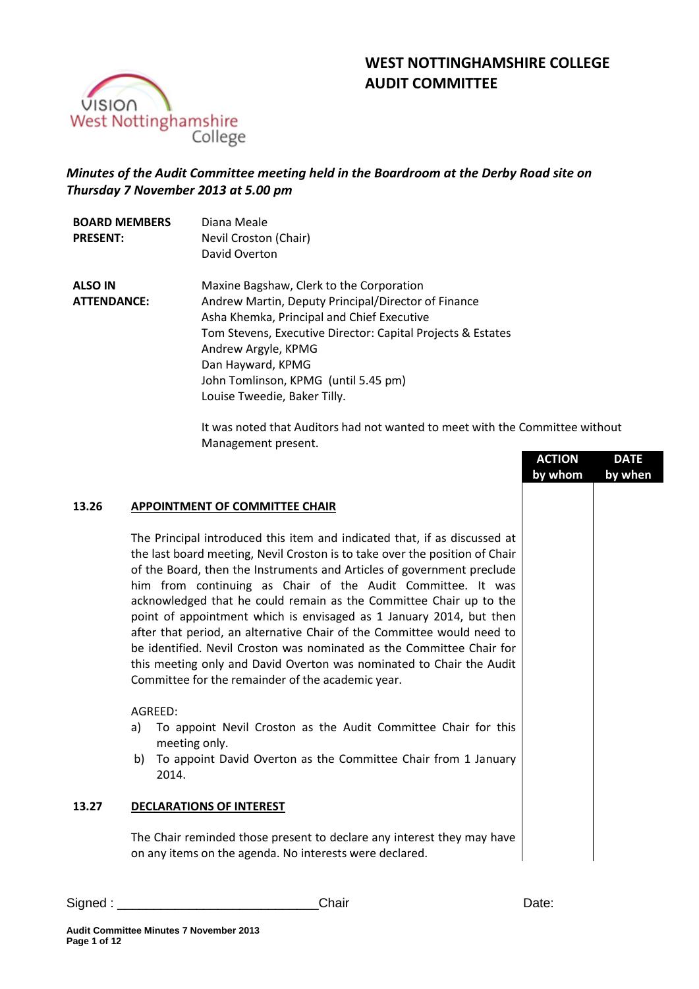# **WEST NOTTINGHAMSHIRE COLLEGE AUDIT COMMITTEE**



# *Minutes of the Audit Committee meeting held in the Boardroom at the Derby Road site on Thursday 7 November 2013 at 5.00 pm*

| <b>BOARD MEMBERS</b> | Diana Meale                                                 |
|----------------------|-------------------------------------------------------------|
| <b>PRESENT:</b>      | Nevil Croston (Chair)                                       |
|                      | David Overton                                               |
| <b>ALSO IN</b>       | Maxine Bagshaw, Clerk to the Corporation                    |
| <b>ATTENDANCE:</b>   | Andrew Martin, Deputy Principal/Director of Finance         |
|                      | Asha Khemka, Principal and Chief Executive                  |
|                      | Tom Stevens, Executive Director: Capital Projects & Estates |
|                      | Andrew Argyle, KPMG                                         |
|                      | Dan Hayward, KPMG                                           |
|                      | John Tomlinson, KPMG (until 5.45 pm)                        |
|                      | Louise Tweedie, Baker Tilly.                                |

It was noted that Auditors had not wanted to meet with the Committee without Management present.

|       |                                                                                                                                                                                                                                                                                                                                                                                                                                                                                                                                                                                                                                                                                                                                | <b>ACTION</b><br>by whom | <b>DATE</b><br>by when |  |
|-------|--------------------------------------------------------------------------------------------------------------------------------------------------------------------------------------------------------------------------------------------------------------------------------------------------------------------------------------------------------------------------------------------------------------------------------------------------------------------------------------------------------------------------------------------------------------------------------------------------------------------------------------------------------------------------------------------------------------------------------|--------------------------|------------------------|--|
| 13.26 | <b>APPOINTMENT OF COMMITTEE CHAIR</b>                                                                                                                                                                                                                                                                                                                                                                                                                                                                                                                                                                                                                                                                                          |                          |                        |  |
|       | The Principal introduced this item and indicated that, if as discussed at<br>the last board meeting, Nevil Croston is to take over the position of Chair<br>of the Board, then the Instruments and Articles of government preclude<br>him from continuing as Chair of the Audit Committee. It was<br>acknowledged that he could remain as the Committee Chair up to the<br>point of appointment which is envisaged as 1 January 2014, but then<br>after that period, an alternative Chair of the Committee would need to<br>be identified. Nevil Croston was nominated as the Committee Chair for<br>this meeting only and David Overton was nominated to Chair the Audit<br>Committee for the remainder of the academic year. |                          |                        |  |
|       | AGREED:<br>To appoint Nevil Croston as the Audit Committee Chair for this<br>a)<br>meeting only.<br>To appoint David Overton as the Committee Chair from 1 January<br>b)<br>2014.                                                                                                                                                                                                                                                                                                                                                                                                                                                                                                                                              |                          |                        |  |
| 13.27 | <b>DECLARATIONS OF INTEREST</b>                                                                                                                                                                                                                                                                                                                                                                                                                                                                                                                                                                                                                                                                                                |                          |                        |  |
|       | The Chair reminded those present to declare any interest they may have<br>on any items on the agenda. No interests were declared.                                                                                                                                                                                                                                                                                                                                                                                                                                                                                                                                                                                              |                          |                        |  |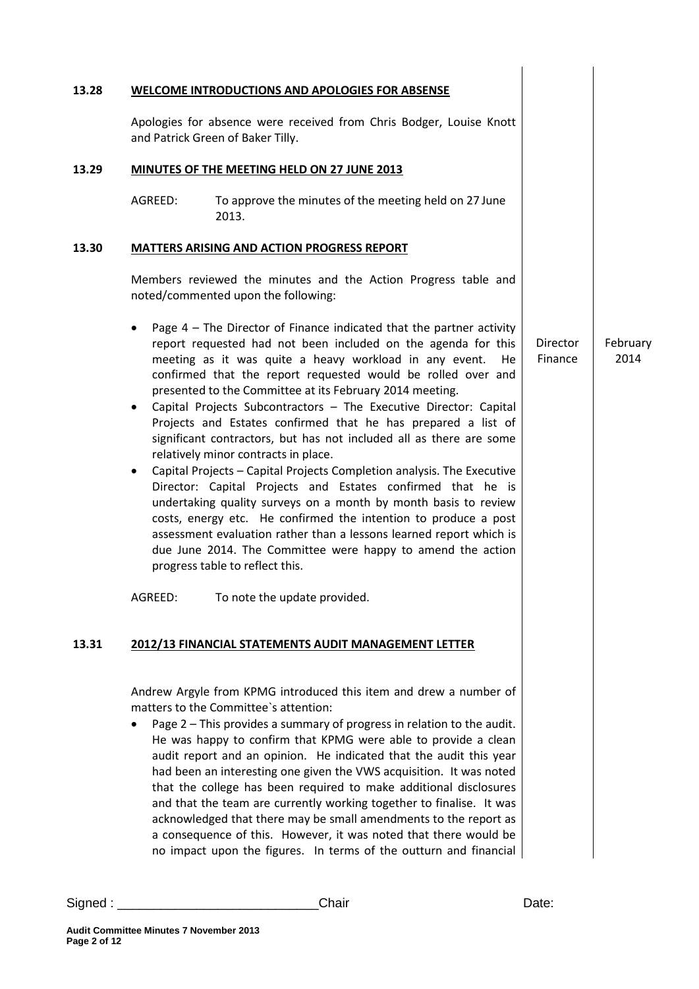|                        |         | WELCOME INTRODUCTIONS AND APOLOGIES FOR ABSENSE                                                                                                                                                                                                                                                                                                                                                                                                                                                                                                                                                                                                                                                                                                                                                                                                                                                                                                                                                                                                   |                     |                  |
|------------------------|---------|---------------------------------------------------------------------------------------------------------------------------------------------------------------------------------------------------------------------------------------------------------------------------------------------------------------------------------------------------------------------------------------------------------------------------------------------------------------------------------------------------------------------------------------------------------------------------------------------------------------------------------------------------------------------------------------------------------------------------------------------------------------------------------------------------------------------------------------------------------------------------------------------------------------------------------------------------------------------------------------------------------------------------------------------------|---------------------|------------------|
|                        |         | Apologies for absence were received from Chris Bodger, Louise Knott<br>and Patrick Green of Baker Tilly.                                                                                                                                                                                                                                                                                                                                                                                                                                                                                                                                                                                                                                                                                                                                                                                                                                                                                                                                          |                     |                  |
|                        |         | MINUTES OF THE MEETING HELD ON 27 JUNE 2013                                                                                                                                                                                                                                                                                                                                                                                                                                                                                                                                                                                                                                                                                                                                                                                                                                                                                                                                                                                                       |                     |                  |
|                        | AGREED: | To approve the minutes of the meeting held on 27 June<br>2013.                                                                                                                                                                                                                                                                                                                                                                                                                                                                                                                                                                                                                                                                                                                                                                                                                                                                                                                                                                                    |                     |                  |
|                        |         | <b>MATTERS ARISING AND ACTION PROGRESS REPORT</b>                                                                                                                                                                                                                                                                                                                                                                                                                                                                                                                                                                                                                                                                                                                                                                                                                                                                                                                                                                                                 |                     |                  |
|                        |         | Members reviewed the minutes and the Action Progress table and<br>noted/commented upon the following:                                                                                                                                                                                                                                                                                                                                                                                                                                                                                                                                                                                                                                                                                                                                                                                                                                                                                                                                             |                     |                  |
| $\bullet$<br>$\bullet$ |         | Page $4$ – The Director of Finance indicated that the partner activity<br>report requested had not been included on the agenda for this<br>meeting as it was quite a heavy workload in any event.<br>He.<br>confirmed that the report requested would be rolled over and<br>presented to the Committee at its February 2014 meeting.<br>Capital Projects Subcontractors - The Executive Director: Capital<br>Projects and Estates confirmed that he has prepared a list of<br>significant contractors, but has not included all as there are some<br>relatively minor contracts in place.<br>Capital Projects - Capital Projects Completion analysis. The Executive<br>Director: Capital Projects and Estates confirmed that he is<br>undertaking quality surveys on a month by month basis to review<br>costs, energy etc. He confirmed the intention to produce a post<br>assessment evaluation rather than a lessons learned report which is<br>due June 2014. The Committee were happy to amend the action<br>progress table to reflect this. | Director<br>Finance | February<br>2014 |
|                        | AGREED: | To note the update provided.                                                                                                                                                                                                                                                                                                                                                                                                                                                                                                                                                                                                                                                                                                                                                                                                                                                                                                                                                                                                                      |                     |                  |
|                        |         | 2012/13 FINANCIAL STATEMENTS AUDIT MANAGEMENT LETTER                                                                                                                                                                                                                                                                                                                                                                                                                                                                                                                                                                                                                                                                                                                                                                                                                                                                                                                                                                                              |                     |                  |
|                        |         | Andrew Argyle from KPMG introduced this item and drew a number of<br>matters to the Committee's attention:<br>Page 2 - This provides a summary of progress in relation to the audit.<br>He was happy to confirm that KPMG were able to provide a clean<br>audit report and an opinion. He indicated that the audit this year<br>had been an interesting one given the VWS acquisition. It was noted<br>that the college has been required to make additional disclosures<br>and that the team are currently working together to finalise. It was<br>acknowledged that there may be small amendments to the report as<br>a consequence of this. However, it was noted that there would be<br>no impact upon the figures. In terms of the outturn and financial                                                                                                                                                                                                                                                                                     |                     |                  |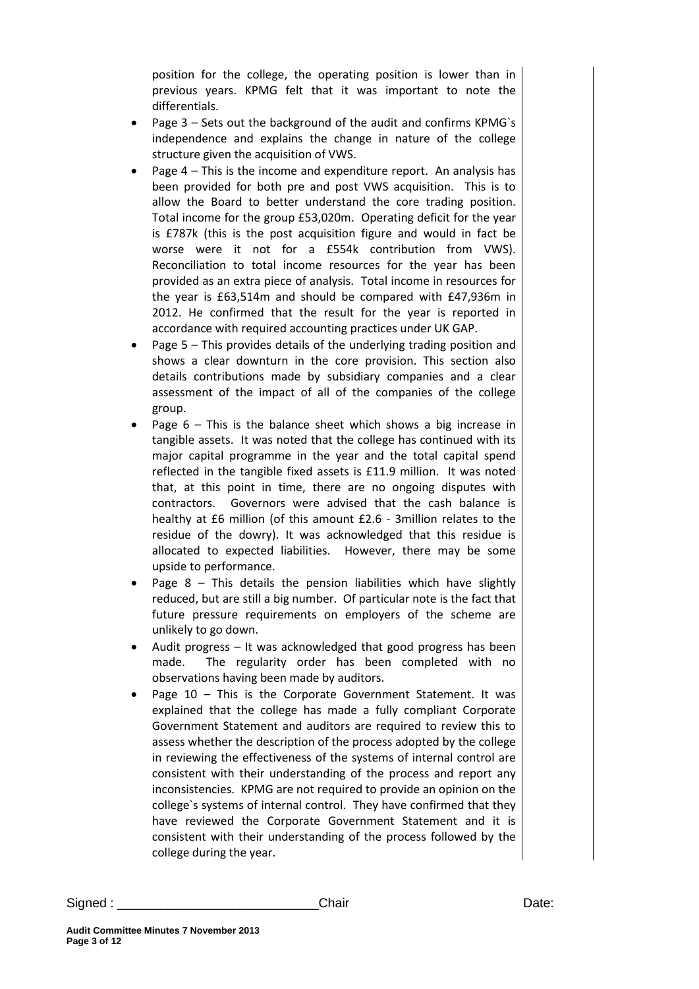position for the college, the operating position is lower than in previous years. KPMG felt that it was important to note the differentials.

- Page 3 Sets out the background of the audit and confirms KPMG`s independence and explains the change in nature of the college structure given the acquisition of VWS.
- Page 4 This is the income and expenditure report. An analysis has been provided for both pre and post VWS acquisition. This is to allow the Board to better understand the core trading position. Total income for the group £53,020m. Operating deficit for the year is £787k (this is the post acquisition figure and would in fact be worse were it not for a £554k contribution from VWS). Reconciliation to total income resources for the year has been provided as an extra piece of analysis. Total income in resources for the year is £63,514m and should be compared with £47,936m in 2012. He confirmed that the result for the year is reported in accordance with required accounting practices under UK GAP.
- Page 5 This provides details of the underlying trading position and shows a clear downturn in the core provision. This section also details contributions made by subsidiary companies and a clear assessment of the impact of all of the companies of the college group.
- Page  $6$  This is the balance sheet which shows a big increase in tangible assets. It was noted that the college has continued with its major capital programme in the year and the total capital spend reflected in the tangible fixed assets is £11.9 million. It was noted that, at this point in time, there are no ongoing disputes with contractors. Governors were advised that the cash balance is healthy at £6 million (of this amount £2.6 - 3million relates to the residue of the dowry). It was acknowledged that this residue is allocated to expected liabilities. However, there may be some upside to performance.
- Page  $8$  This details the pension liabilities which have slightly reduced, but are still a big number. Of particular note is the fact that future pressure requirements on employers of the scheme are unlikely to go down.
- Audit progress It was acknowledged that good progress has been made. The regularity order has been completed with no observations having been made by auditors.
- Page 10 This is the Corporate Government Statement. It was explained that the college has made a fully compliant Corporate Government Statement and auditors are required to review this to assess whether the description of the process adopted by the college in reviewing the effectiveness of the systems of internal control are consistent with their understanding of the process and report any inconsistencies. KPMG are not required to provide an opinion on the college`s systems of internal control. They have confirmed that they have reviewed the Corporate Government Statement and it is consistent with their understanding of the process followed by the college during the year.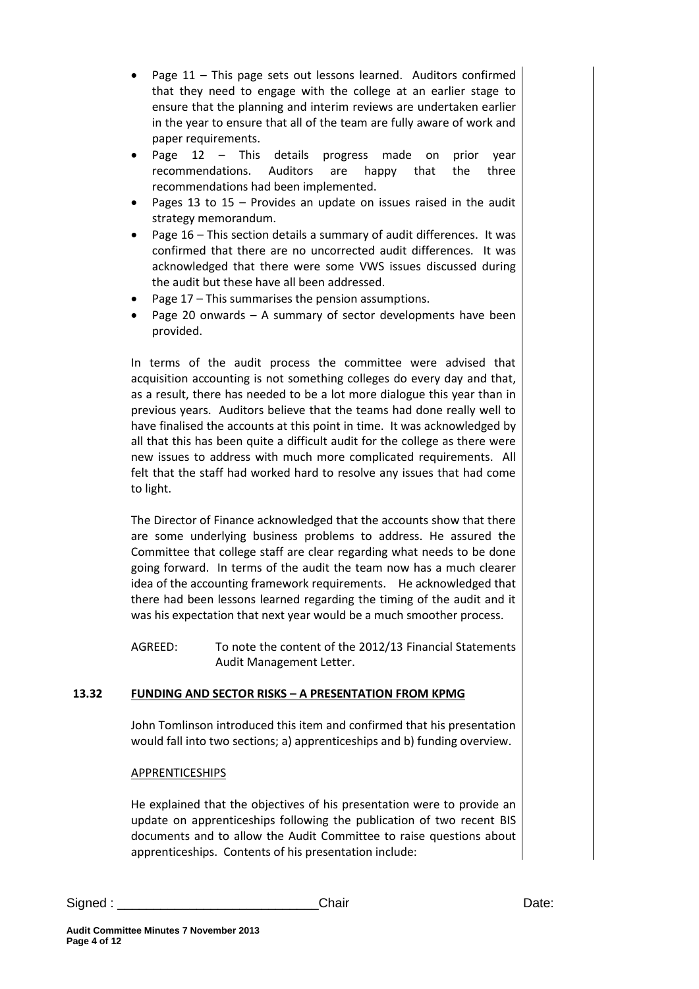- Page 11 This page sets out lessons learned. Auditors confirmed that they need to engage with the college at an earlier stage to ensure that the planning and interim reviews are undertaken earlier in the year to ensure that all of the team are fully aware of work and paper requirements.
- Page 12 This details progress made on prior year recommendations. Auditors are happy that the three recommendations had been implemented.
- Pages 13 to 15 Provides an update on issues raised in the audit strategy memorandum.
- Page 16 This section details a summary of audit differences. It was confirmed that there are no uncorrected audit differences. It was acknowledged that there were some VWS issues discussed during the audit but these have all been addressed.
- Page 17 This summarises the pension assumptions.
- Page 20 onwards A summary of sector developments have been provided.

In terms of the audit process the committee were advised that acquisition accounting is not something colleges do every day and that, as a result, there has needed to be a lot more dialogue this year than in previous years. Auditors believe that the teams had done really well to have finalised the accounts at this point in time. It was acknowledged by all that this has been quite a difficult audit for the college as there were new issues to address with much more complicated requirements. All felt that the staff had worked hard to resolve any issues that had come to light.

The Director of Finance acknowledged that the accounts show that there are some underlying business problems to address. He assured the Committee that college staff are clear regarding what needs to be done going forward. In terms of the audit the team now has a much clearer idea of the accounting framework requirements. He acknowledged that there had been lessons learned regarding the timing of the audit and it was his expectation that next year would be a much smoother process.

AGREED: To note the content of the 2012/13 Financial Statements Audit Management Letter.

# **13.32 FUNDING AND SECTOR RISKS – A PRESENTATION FROM KPMG**

John Tomlinson introduced this item and confirmed that his presentation would fall into two sections; a) apprenticeships and b) funding overview.

# APPRENTICESHIPS

He explained that the objectives of his presentation were to provide an update on apprenticeships following the publication of two recent BIS documents and to allow the Audit Committee to raise questions about apprenticeships. Contents of his presentation include:

**Page 4 of 12**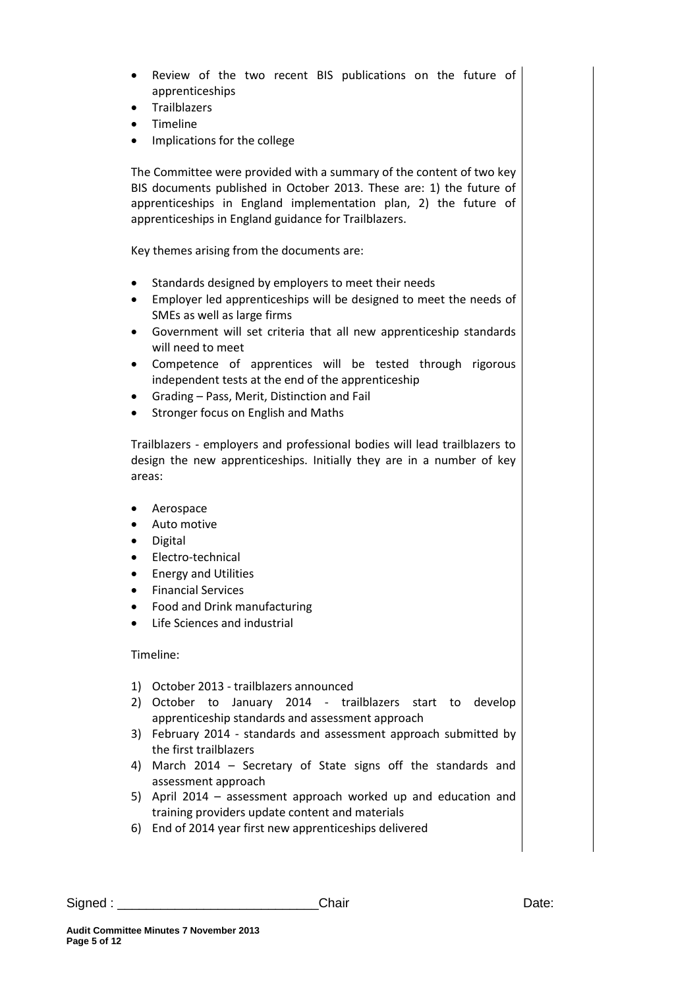- Review of the two recent BIS publications on the future of apprenticeships
- Trailblazers
- Timeline
- Implications for the college

The Committee were provided with a summary of the content of two key BIS documents published in October 2013. These are: 1) the future of apprenticeships in England implementation plan, 2) the future of apprenticeships in England guidance for Trailblazers.

Key themes arising from the documents are:

- Standards designed by employers to meet their needs
- Employer led apprenticeships will be designed to meet the needs of SMEs as well as large firms
- Government will set criteria that all new apprenticeship standards will need to meet
- Competence of apprentices will be tested through rigorous independent tests at the end of the apprenticeship
- Grading Pass, Merit, Distinction and Fail
- Stronger focus on English and Maths

Trailblazers - employers and professional bodies will lead trailblazers to design the new apprenticeships. Initially they are in a number of key areas:

- Aerospace
- Auto motive
- Digital
- Electro-technical
- Energy and Utilities
- Financial Services
- Food and Drink manufacturing
- Life Sciences and industrial

Timeline:

- 1) October 2013 trailblazers announced
- 2) October to January 2014 trailblazers start to develop apprenticeship standards and assessment approach
- 3) February 2014 standards and assessment approach submitted by the first trailblazers
- 4) March 2014 Secretary of State signs off the standards and assessment approach
- 5) April 2014 assessment approach worked up and education and training providers update content and materials
- 6) End of 2014 year first new apprenticeships delivered

Signed : \_\_\_\_\_\_\_\_\_\_\_\_\_\_\_\_\_\_\_\_\_\_\_\_\_\_\_\_Chair Date: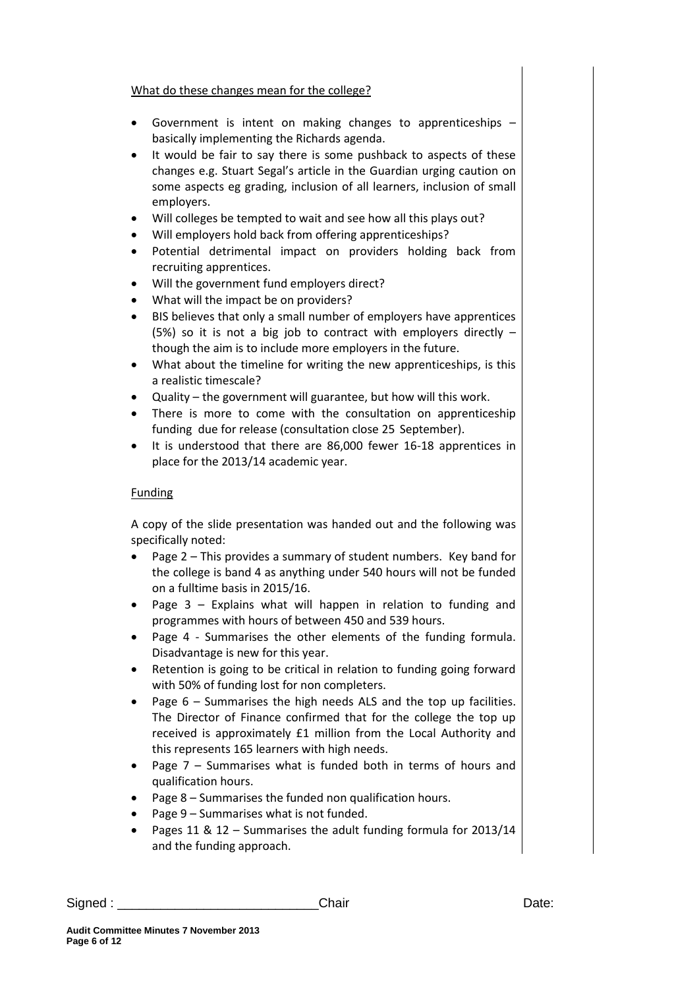# What do these changes mean for the college?

- Government is intent on making changes to apprenticeships basically implementing the Richards agenda.
- It would be fair to say there is some pushback to aspects of these changes e.g. Stuart Segal's article in the Guardian urging caution on some aspects eg grading, inclusion of all learners, inclusion of small employers.
- Will colleges be tempted to wait and see how all this plays out?
- Will employers hold back from offering apprenticeships?
- Potential detrimental impact on providers holding back from recruiting apprentices.
- Will the government fund employers direct?
- What will the impact be on providers?
- BIS believes that only a small number of employers have apprentices (5%) so it is not a big job to contract with employers directly  $$ though the aim is to include more employers in the future.
- What about the timeline for writing the new apprenticeships, is this a realistic timescale?
- Quality the government will guarantee, but how will this work.
- There is more to come with the consultation on apprenticeship funding due for release (consultation close 25 September).
- It is understood that there are 86,000 fewer 16-18 apprentices in place for the 2013/14 academic year.

# Funding

A copy of the slide presentation was handed out and the following was specifically noted:

- Page 2 This provides a summary of student numbers. Key band for the college is band 4 as anything under 540 hours will not be funded on a fulltime basis in 2015/16.
- Page 3 Explains what will happen in relation to funding and programmes with hours of between 450 and 539 hours.
- Page 4 Summarises the other elements of the funding formula. Disadvantage is new for this year.
- Retention is going to be critical in relation to funding going forward with 50% of funding lost for non completers.
- Page 6 Summarises the high needs ALS and the top up facilities. The Director of Finance confirmed that for the college the top up received is approximately £1 million from the Local Authority and this represents 165 learners with high needs.
- Page  $7$  Summarises what is funded both in terms of hours and qualification hours.
- Page 8 Summarises the funded non qualification hours.
- Page 9 Summarises what is not funded.
- Pages 11 & 12 Summarises the adult funding formula for 2013/14 and the funding approach.

| Signed | .7.15<br>. | uate. |
|--------|------------|-------|
|        |            |       |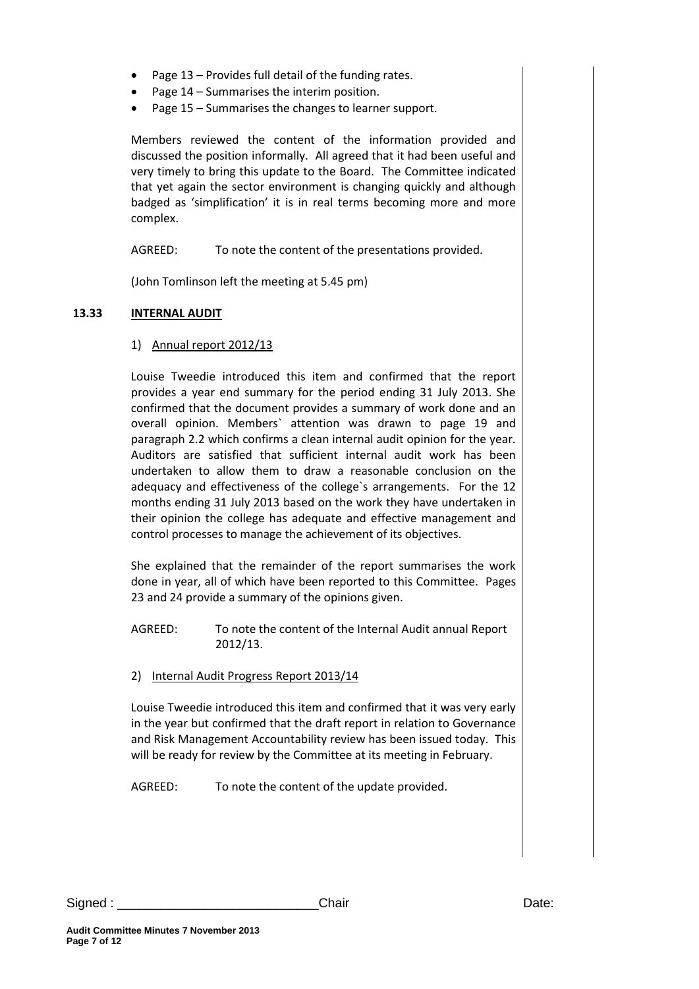- Page 13 Provides full detail of the funding rates.
- Page 14 Summarises the interim position.
- Page 15 Summarises the changes to learner support.

Members reviewed the content of the information provided and discussed the position informally. All agreed that it had been useful and very timely to bring this update to the Board. The Committee indicated that yet again the sector environment is changing quickly and although badged as 'simplification' it is in real terms becoming more and more complex.

AGREED: To note the content of the presentations provided.

(John Tomlinson left the meeting at 5.45 pm)

# **13.33 INTERNAL AUDIT**

### 1) Annual report 2012/13

Louise Tweedie introduced this item and confirmed that the report provides a year end summary for the period ending 31 July 2013. She confirmed that the document provides a summary of work done and an overall opinion. Members` attention was drawn to page 19 and paragraph 2.2 which confirms a clean internal audit opinion for the year. Auditors are satisfied that sufficient internal audit work has been undertaken to allow them to draw a reasonable conclusion on the adequacy and effectiveness of the college`s arrangements. For the 12 months ending 31 July 2013 based on the work they have undertaken in their opinion the college has adequate and effective management and control processes to manage the achievement of its objectives.

She explained that the remainder of the report summarises the work done in year, all of which have been reported to this Committee. Pages 23 and 24 provide a summary of the opinions given.

AGREED: To note the content of the Internal Audit annual Report 2012/13.

2) Internal Audit Progress Report 2013/14

Louise Tweedie introduced this item and confirmed that it was very early in the year but confirmed that the draft report in relation to Governance and Risk Management Accountability review has been issued today. This will be ready for review by the Committee at its meeting in February.

AGREED: To note the content of the update provided.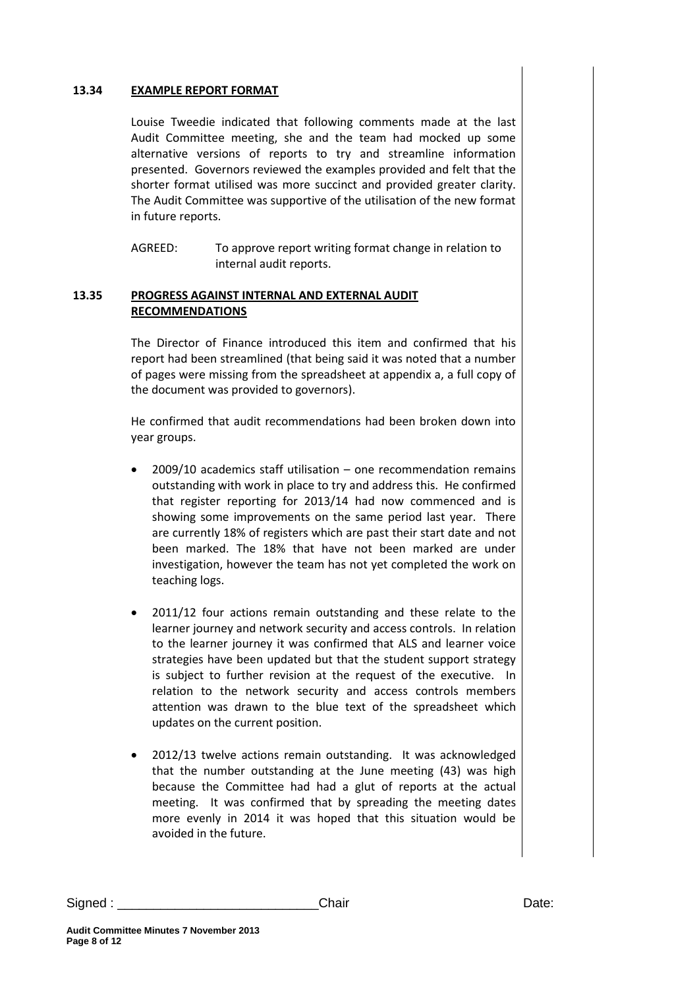#### **13.34 EXAMPLE REPORT FORMAT**

Louise Tweedie indicated that following comments made at the last Audit Committee meeting, she and the team had mocked up some alternative versions of reports to try and streamline information presented. Governors reviewed the examples provided and felt that the shorter format utilised was more succinct and provided greater clarity. The Audit Committee was supportive of the utilisation of the new format in future reports.

AGREED: To approve report writing format change in relation to internal audit reports.

### **13.35 PROGRESS AGAINST INTERNAL AND EXTERNAL AUDIT RECOMMENDATIONS**

The Director of Finance introduced this item and confirmed that his report had been streamlined (that being said it was noted that a number of pages were missing from the spreadsheet at appendix a, a full copy of the document was provided to governors).

He confirmed that audit recommendations had been broken down into year groups.

- 2009/10 academics staff utilisation one recommendation remains outstanding with work in place to try and address this. He confirmed that register reporting for 2013/14 had now commenced and is showing some improvements on the same period last year. There are currently 18% of registers which are past their start date and not been marked. The 18% that have not been marked are under investigation, however the team has not yet completed the work on teaching logs.
- 2011/12 four actions remain outstanding and these relate to the learner journey and network security and access controls. In relation to the learner journey it was confirmed that ALS and learner voice strategies have been updated but that the student support strategy is subject to further revision at the request of the executive. In relation to the network security and access controls members attention was drawn to the blue text of the spreadsheet which updates on the current position.
- 2012/13 twelve actions remain outstanding. It was acknowledged that the number outstanding at the June meeting (43) was high because the Committee had had a glut of reports at the actual meeting. It was confirmed that by spreading the meeting dates more evenly in 2014 it was hoped that this situation would be avoided in the future.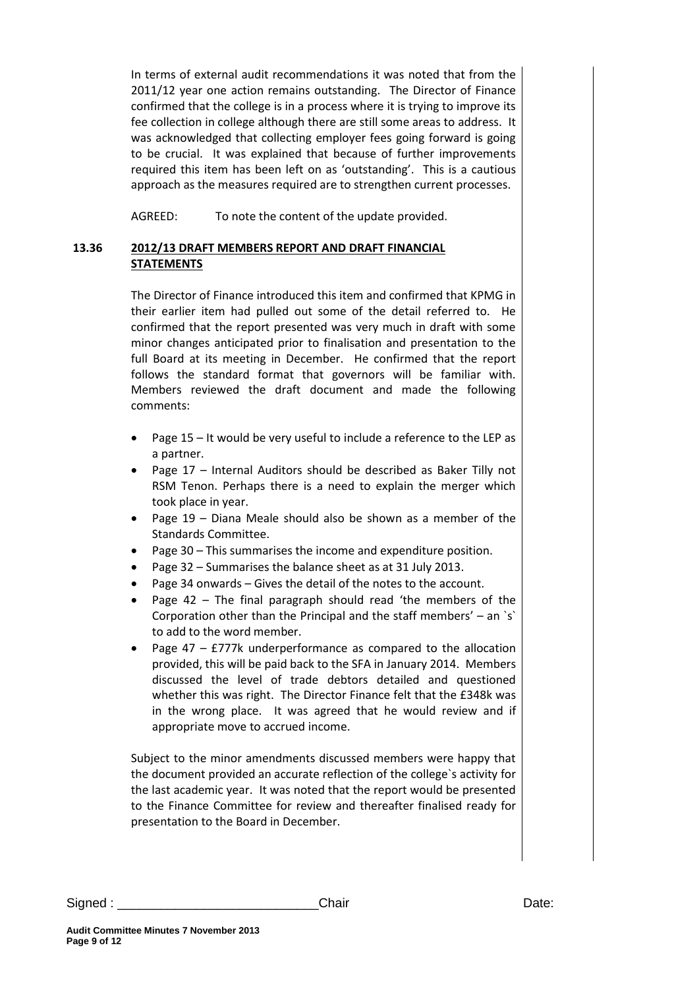In terms of external audit recommendations it was noted that from the 2011/12 year one action remains outstanding. The Director of Finance confirmed that the college is in a process where it is trying to improve its fee collection in college although there are still some areas to address. It was acknowledged that collecting employer fees going forward is going to be crucial. It was explained that because of further improvements required this item has been left on as 'outstanding'. This is a cautious approach as the measures required are to strengthen current processes.

AGREED: To note the content of the update provided.

# **13.36 2012/13 DRAFT MEMBERS REPORT AND DRAFT FINANCIAL STATEMENTS**

The Director of Finance introduced this item and confirmed that KPMG in their earlier item had pulled out some of the detail referred to. He confirmed that the report presented was very much in draft with some minor changes anticipated prior to finalisation and presentation to the full Board at its meeting in December. He confirmed that the report follows the standard format that governors will be familiar with. Members reviewed the draft document and made the following comments:

- Page 15 It would be very useful to include a reference to the LEP as a partner.
- Page 17 Internal Auditors should be described as Baker Tilly not RSM Tenon. Perhaps there is a need to explain the merger which took place in year.
- Page 19 Diana Meale should also be shown as a member of the Standards Committee.
- Page 30 This summarises the income and expenditure position.
- Page 32 Summarises the balance sheet as at 31 July 2013.
- Page 34 onwards Gives the detail of the notes to the account.
- Page 42 The final paragraph should read 'the members of the Corporation other than the Principal and the staff members' – an `s` to add to the word member.
- Page 47 £777k underperformance as compared to the allocation provided, this will be paid back to the SFA in January 2014. Members discussed the level of trade debtors detailed and questioned whether this was right. The Director Finance felt that the £348k was in the wrong place. It was agreed that he would review and if appropriate move to accrued income.

Subject to the minor amendments discussed members were happy that the document provided an accurate reflection of the college`s activity for the last academic year. It was noted that the report would be presented to the Finance Committee for review and thereafter finalised ready for presentation to the Board in December.

Signed : \_\_\_\_\_\_\_\_\_\_\_\_\_\_\_\_\_\_\_\_\_\_\_\_\_\_\_\_Chair Date: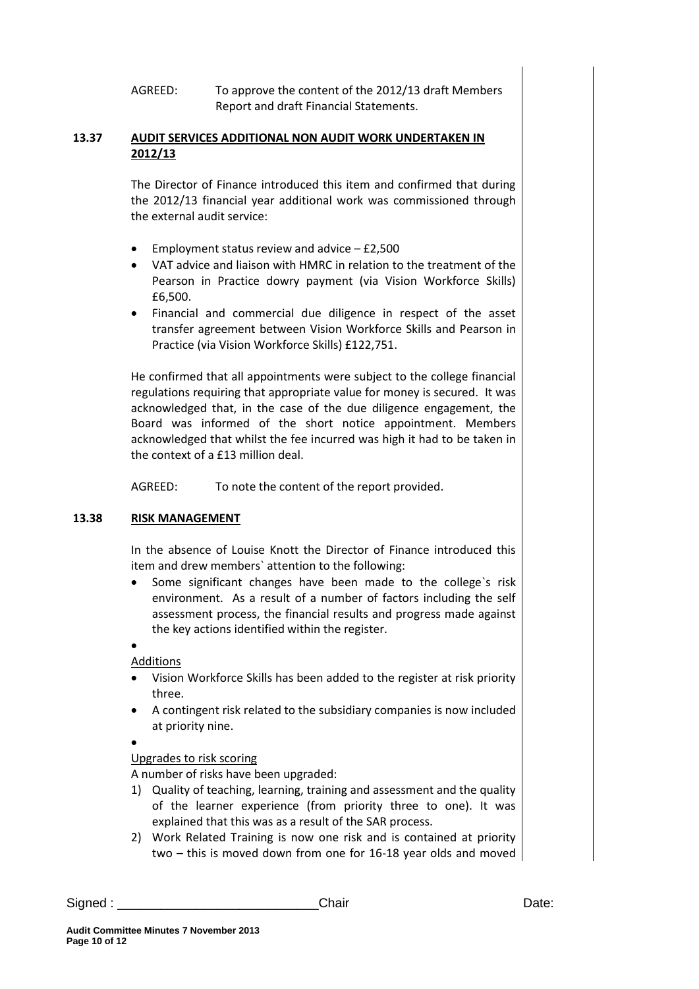AGREED: To approve the content of the 2012/13 draft Members Report and draft Financial Statements.

# **13.37 AUDIT SERVICES ADDITIONAL NON AUDIT WORK UNDERTAKEN IN 2012/13**

The Director of Finance introduced this item and confirmed that during the 2012/13 financial year additional work was commissioned through the external audit service:

- Employment status review and advice  $-$  £2,500
- VAT advice and liaison with HMRC in relation to the treatment of the Pearson in Practice dowry payment (via Vision Workforce Skills) £6,500.
- Financial and commercial due diligence in respect of the asset transfer agreement between Vision Workforce Skills and Pearson in Practice (via Vision Workforce Skills) £122,751.

He confirmed that all appointments were subject to the college financial regulations requiring that appropriate value for money is secured. It was acknowledged that, in the case of the due diligence engagement, the Board was informed of the short notice appointment. Members acknowledged that whilst the fee incurred was high it had to be taken in the context of a £13 million deal.

AGREED: To note the content of the report provided.

# **13.38 RISK MANAGEMENT**

In the absence of Louise Knott the Director of Finance introduced this item and drew members` attention to the following:

 Some significant changes have been made to the college`s risk environment. As a result of a number of factors including the self assessment process, the financial results and progress made against the key actions identified within the register.

 $\bullet$ Additions

- Vision Workforce Skills has been added to the register at risk priority three.
- A contingent risk related to the subsidiary companies is now included at priority nine.

 $\bullet$ 

# Upgrades to risk scoring

A number of risks have been upgraded:

- 1) Quality of teaching, learning, training and assessment and the quality of the learner experience (from priority three to one). It was explained that this was as a result of the SAR process.
- 2) Work Related Training is now one risk and is contained at priority two – this is moved down from one for 16-18 year olds and moved

Signed : \_\_\_\_\_\_\_\_\_\_\_\_\_\_\_\_\_\_\_\_\_\_\_\_\_\_\_\_Chair Date: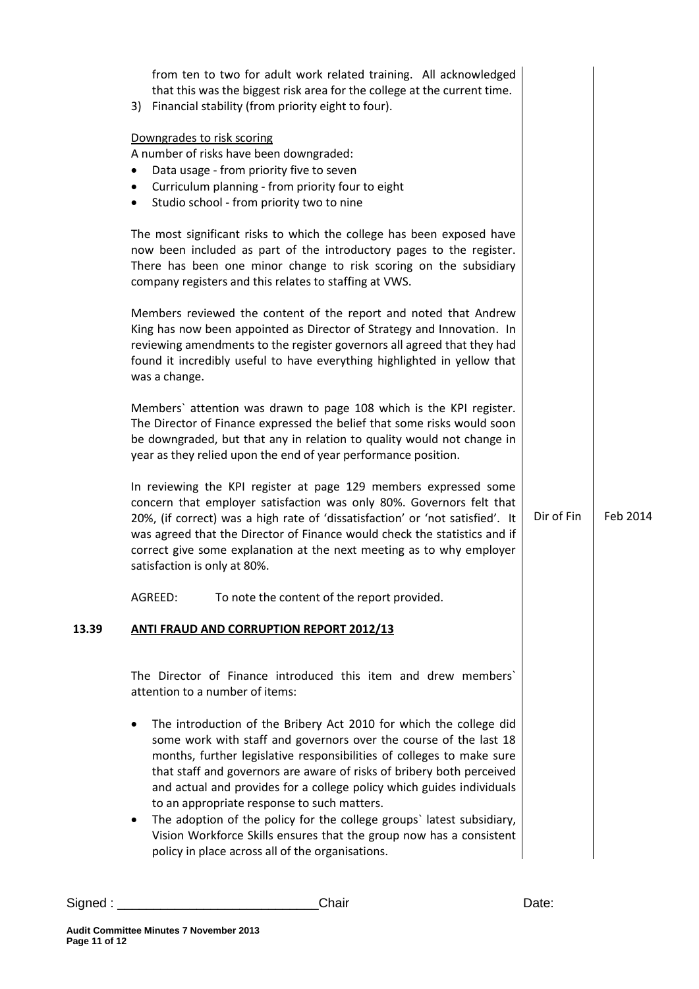|       | from ten to two for adult work related training. All acknowledged<br>that this was the biggest risk area for the college at the current time.<br>3) Financial stability (from priority eight to four).                                                                                                                                                                                                                                                                                                       |            |          |
|-------|--------------------------------------------------------------------------------------------------------------------------------------------------------------------------------------------------------------------------------------------------------------------------------------------------------------------------------------------------------------------------------------------------------------------------------------------------------------------------------------------------------------|------------|----------|
|       | Downgrades to risk scoring<br>A number of risks have been downgraded:<br>Data usage - from priority five to seven<br>Curriculum planning - from priority four to eight<br>Studio school - from priority two to nine<br>$\bullet$                                                                                                                                                                                                                                                                             |            |          |
|       | The most significant risks to which the college has been exposed have<br>now been included as part of the introductory pages to the register.<br>There has been one minor change to risk scoring on the subsidiary<br>company registers and this relates to staffing at VWS.                                                                                                                                                                                                                                 |            |          |
|       | Members reviewed the content of the report and noted that Andrew<br>King has now been appointed as Director of Strategy and Innovation. In<br>reviewing amendments to the register governors all agreed that they had<br>found it incredibly useful to have everything highlighted in yellow that<br>was a change.                                                                                                                                                                                           |            |          |
|       | Members' attention was drawn to page 108 which is the KPI register.<br>The Director of Finance expressed the belief that some risks would soon<br>be downgraded, but that any in relation to quality would not change in<br>year as they relied upon the end of year performance position.                                                                                                                                                                                                                   |            |          |
|       | In reviewing the KPI register at page 129 members expressed some<br>concern that employer satisfaction was only 80%. Governors felt that<br>20%, (if correct) was a high rate of 'dissatisfaction' or 'not satisfied'. It<br>was agreed that the Director of Finance would check the statistics and if<br>correct give some explanation at the next meeting as to why employer<br>satisfaction is only at 80%.                                                                                               | Dir of Fin | Feb 2014 |
|       | AGREED:<br>To note the content of the report provided.                                                                                                                                                                                                                                                                                                                                                                                                                                                       |            |          |
| 13.39 | <b>ANTI FRAUD AND CORRUPTION REPORT 2012/13</b>                                                                                                                                                                                                                                                                                                                                                                                                                                                              |            |          |
|       | The Director of Finance introduced this item and drew members'<br>attention to a number of items:                                                                                                                                                                                                                                                                                                                                                                                                            |            |          |
|       | The introduction of the Bribery Act 2010 for which the college did<br>$\bullet$<br>some work with staff and governors over the course of the last 18<br>months, further legislative responsibilities of colleges to make sure<br>that staff and governors are aware of risks of bribery both perceived<br>and actual and provides for a college policy which guides individuals<br>to an appropriate response to such matters.<br>The adoption of the policy for the college groups' latest subsidiary,<br>٠ |            |          |
|       | Vision Workforce Skills ensures that the group now has a consistent<br>policy in place across all of the organisations.                                                                                                                                                                                                                                                                                                                                                                                      |            |          |